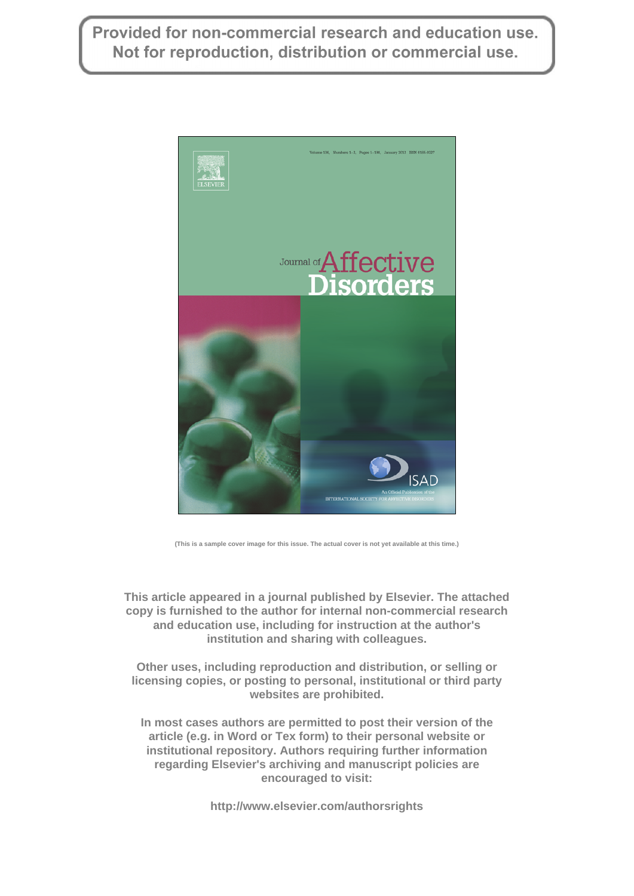Provided for non-commercial research and education use. Not for reproduction, distribution or commercial use.



**(This is a sample cover image for this issue. The actual cover is not yet available at this time.)**

**This article appeared in a journal published by Elsevier. The attached copy is furnished to the author for internal non-commercial research and education use, including for instruction at the author's institution and sharing with colleagues.**

**Other uses, including reproduction and distribution, or selling or licensing copies, or posting to personal, institutional or third party websites are prohibited.**

**In most cases authors are permitted to post their version of the article (e.g. in Word or Tex form) to their personal website or institutional repository. Authors requiring further information regarding Elsevier's archiving and manuscript policies are encouraged to visit:**

**http://www.elsevier.com/authorsrights**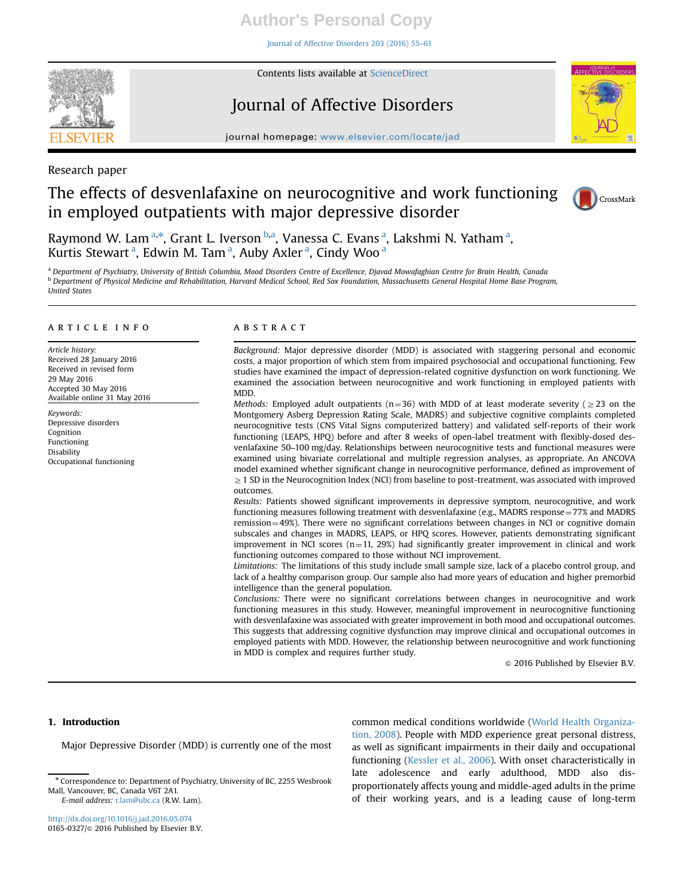# **Author's Personal Copy**

[Journal of Affective Disorders 203 \(2016\) 55](http://dx.doi.org/10.1016/j.jad.2016.05.074)–61



Contents lists available at [ScienceDirect](www.sciencedirect.com/science/journal/01650327)

# Journal of Affective Disorders



journal homepage: <www.elsevier.com/locate/jad>

Research paper

# The effects of desvenlafaxine on neurocognitive and work functioning in employed outpatients with major depressive disorder



Raymond W. Lam<sup>a,\*</sup>, Grant L. Iverson <sup>b,a</sup>, Vanessa C. Evans <sup>a</sup>, Lakshmi N. Yatham <sup>a</sup>, Kurtis Stewart<sup>a</sup>, Edwin M. Tam<sup>a</sup>, Auby Axler<sup>a</sup>, Cindy Woo<sup>a</sup>

<sup>a</sup> Department of Psychiatry, University of British Columbia, Mood Disorders Centre of Excellence, Djavad Mowafaghian Centre for Brain Health, Canada **b** Department of Physical Medicine and Rehabilitation, Harvard Medical School, Red Sox Foundation, Massachusetts General Hospital Home Base Program, United States

# article info

Article history: Received 28 January 2016 Received in revised form 29 May 2016 Accepted 30 May 2016 Available online 31 May 2016

Keywords: Depressive disorders Cognition Functioning Disability Occupational functioning

### **ABSTRACT**

Background: Major depressive disorder (MDD) is associated with staggering personal and economic costs, a major proportion of which stem from impaired psychosocial and occupational functioning. Few studies have examined the impact of depression-related cognitive dysfunction on work functioning. We examined the association between neurocognitive and work functioning in employed patients with MDD.

Methods: Employed adult outpatients (n=36) with MDD of at least moderate severity ( $\geq$ 23 on the Montgomery Asberg Depression Rating Scale, MADRS) and subjective cognitive complaints completed neurocognitive tests (CNS Vital Signs computerized battery) and validated self-reports of their work functioning (LEAPS, HPQ) before and after 8 weeks of open-label treatment with flexibly-dosed desvenlafaxine 50–100 mg/day. Relationships between neurocognitive tests and functional measures were examined using bivariate correlational and multiple regression analyses, as appropriate. An ANCOVA model examined whether significant change in neurocognitive performance, defined as improvement of  $\geq$  1 SD in the Neurocognition Index (NCI) from baseline to post-treatment, was associated with improved outcomes.

Results: Patients showed significant improvements in depressive symptom, neurocognitive, and work functioning measures following treatment with desvenlafaxine (e.g., MADRS response =  $77\%$  and MADRS remission=49%). There were no significant correlations between changes in NCI or cognitive domain subscales and changes in MADRS, LEAPS, or HPQ scores. However, patients demonstrating significant improvement in NCI scores  $(n=11, 29%)$  had significantly greater improvement in clinical and work functioning outcomes compared to those without NCI improvement.

Limitations: The limitations of this study include small sample size, lack of a placebo control group, and lack of a healthy comparison group. Our sample also had more years of education and higher premorbid intelligence than the general population.

Conclusions: There were no significant correlations between changes in neurocognitive and work functioning measures in this study. However, meaningful improvement in neurocognitive functioning with desvenlafaxine was associated with greater improvement in both mood and occupational outcomes. This suggests that addressing cognitive dysfunction may improve clinical and occupational outcomes in employed patients with MDD. However, the relationship between neurocognitive and work functioning in MDD is complex and requires further study.

 $\circ$  2016 Published by Elsevier B.V.

## 1. Introduction

Major Depressive Disorder (MDD) is currently one of the most

common medical conditions worldwide ([World Health Organiza](#page-7-0)[tion, 2008\)](#page-7-0). People with MDD experience great personal distress, as well as significant impairments in their daily and occupational functioning [\(Kessler et al., 2006](#page-6-0)). With onset characteristically in late adolescence and early adulthood, MDD also disproportionately affects young and middle-aged adults in the prime of their working years, and is a leading cause of long-term

<sup>n</sup> Correspondence to: Department of Psychiatry, University of BC, 2255 Wesbrook Mall, Vancouver, BC, Canada V6T 2A1. E-mail address: [r.lam@ubc.ca](mailto:r.lam@ubc.ca) (R.W. Lam).

<http://dx.doi.org/10.1016/j.jad.2016.05.074> 0165-0327/© 2016 Published by Elsevier B.V.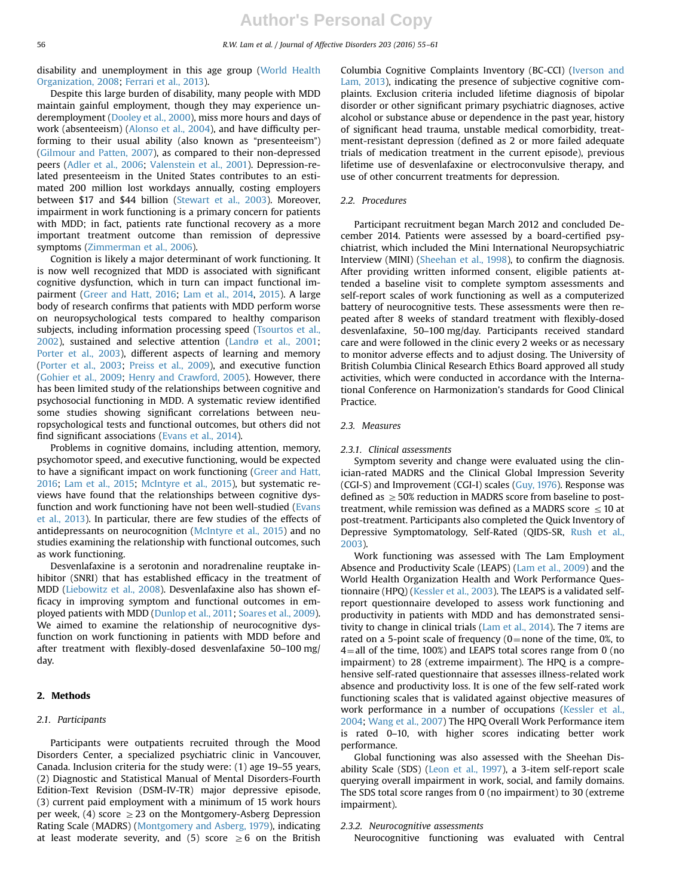disability and unemployment in this age group ([World Health](#page-7-0) [Organization, 2008](#page-7-0); [Ferrari et al., 2013\)](#page-6-0).

Despite this large burden of disability, many people with MDD maintain gainful employment, though they may experience underemployment ([Dooley et al., 2000\)](#page-6-0), miss more hours and days of work (absenteeism) [\(Alonso et al., 2004\)](#page-6-0), and have difficulty performing to their usual ability (also known as "presenteeism") ([Gilmour and Patten, 2007\)](#page-6-0), as compared to their non-depressed peers ([Adler et al., 2006;](#page-6-0) [Valenstein et al., 2001](#page-7-0)). Depression-related presenteeism in the United States contributes to an estimated 200 million lost workdays annually, costing employers between \$17 and \$44 billion ([Stewart et al., 2003](#page-7-0)). Moreover, impairment in work functioning is a primary concern for patients with MDD; in fact, patients rate functional recovery as a more important treatment outcome than remission of depressive symptoms ([Zimmerman et al., 2006](#page-7-0)).

Cognition is likely a major determinant of work functioning. It is now well recognized that MDD is associated with significant cognitive dysfunction, which in turn can impact functional impairment ([Greer and Hatt, 2016;](#page-6-0) [Lam et al., 2014](#page-6-0), [2015\)](#page-6-0). A large body of research confirms that patients with MDD perform worse on neuropsychological tests compared to healthy comparison subjects, including information processing speed [\(Tsourtos et al.,](#page-7-0) [2002\)](#page-7-0), sustained and selective attention ([Landrø et al., 2001;](#page-6-0) [Porter et al., 2003\)](#page-6-0), different aspects of learning and memory ([Porter et al., 2003;](#page-6-0) [Preiss et al., 2009](#page-6-0)), and executive function ([Gohier et al., 2009;](#page-6-0) [Henry and Crawford, 2005\)](#page-6-0). However, there has been limited study of the relationships between cognitive and psychosocial functioning in MDD. A systematic review identified some studies showing significant correlations between neuropsychological tests and functional outcomes, but others did not find significant associations ([Evans et al., 2014\)](#page-6-0).

Problems in cognitive domains, including attention, memory, psychomotor speed, and executive functioning, would be expected to have a significant impact on work functioning ([Greer and Hatt,](#page-6-0) [2016;](#page-6-0) [Lam et al., 2015;](#page-6-0) [McIntyre et al., 2015](#page-6-0)), but systematic reviews have found that the relationships between cognitive dysfunction and work functioning have not been well-studied ([Evans](#page-6-0) [et al., 2013](#page-6-0)). In particular, there are few studies of the effects of antidepressants on neurocognition ([McIntyre et al., 2015\)](#page-6-0) and no studies examining the relationship with functional outcomes, such as work functioning.

Desvenlafaxine is a serotonin and noradrenaline reuptake inhibitor (SNRI) that has established efficacy in the treatment of MDD [\(Liebowitz et al., 2008\)](#page-6-0). Desvenlafaxine also has shown efficacy in improving symptom and functional outcomes in employed patients with MDD ([Dunlop et al., 2011](#page-6-0); [Soares et al., 2009\)](#page-6-0). We aimed to examine the relationship of neurocognitive dysfunction on work functioning in patients with MDD before and after treatment with flexibly-dosed desvenlafaxine 50–100 mg/ day.

## 2. Methods

# 2.1. Participants

Participants were outpatients recruited through the Mood Disorders Center, a specialized psychiatric clinic in Vancouver, Canada. Inclusion criteria for the study were: (1) age 19–55 years, (2) Diagnostic and Statistical Manual of Mental Disorders-Fourth Edition-Text Revision (DSM-IV-TR) major depressive episode, (3) current paid employment with a minimum of 15 work hours per week, (4) score  $\geq$  23 on the Montgomery-Asberg Depression Rating Scale (MADRS) ([Montgomery and Asberg, 1979](#page-6-0)), indicating at least moderate severity, and (5) score  $\geq 6$  on the British Columbia Cognitive Complaints Inventory (BC-CCI) ([Iverson and](#page-6-0) [Lam, 2013](#page-6-0)), indicating the presence of subjective cognitive complaints. Exclusion criteria included lifetime diagnosis of bipolar disorder or other significant primary psychiatric diagnoses, active alcohol or substance abuse or dependence in the past year, history of significant head trauma, unstable medical comorbidity, treatment-resistant depression (defined as 2 or more failed adequate trials of medication treatment in the current episode), previous lifetime use of desvenlafaxine or electroconvulsive therapy, and use of other concurrent treatments for depression.

### 2.2. Procedures

Participant recruitment began March 2012 and concluded December 2014. Patients were assessed by a board-certified psychiatrist, which included the Mini International Neuropsychiatric Interview (MINI) ([Sheehan et al., 1998\)](#page-6-0), to confirm the diagnosis. After providing written informed consent, eligible patients attended a baseline visit to complete symptom assessments and self-report scales of work functioning as well as a computerized battery of neurocognitive tests. These assessments were then repeated after 8 weeks of standard treatment with flexibly-dosed desvenlafaxine, 50–100 mg/day. Participants received standard care and were followed in the clinic every 2 weeks or as necessary to monitor adverse effects and to adjust dosing. The University of British Columbia Clinical Research Ethics Board approved all study activities, which were conducted in accordance with the International Conference on Harmonization's standards for Good Clinical Practice.

#### 2.3. Measures

#### 2.3.1. Clinical assessments

Symptom severity and change were evaluated using the clinician-rated MADRS and the Clinical Global Impression Severity (CGI-S) and Improvement (CGI-I) scales [\(Guy, 1976](#page-6-0)). Response was defined as  $\geq$  50% reduction in MADRS score from baseline to posttreatment, while remission was defined as a MADRS score  $\leq$  10 at post-treatment. Participants also completed the Quick Inventory of Depressive Symptomatology, Self-Rated (QIDS-SR, [Rush et al.,](#page-6-0) [2003\)](#page-6-0).

Work functioning was assessed with The Lam Employment Absence and Productivity Scale (LEAPS) ([Lam et al., 2009](#page-6-0)) and the World Health Organization Health and Work Performance Questionnaire (HPQ) [\(Kessler et al., 2003](#page-6-0)). The LEAPS is a validated selfreport questionnaire developed to assess work functioning and productivity in patients with MDD and has demonstrated sensitivity to change in clinical trials [\(Lam et al., 2014](#page-6-0)). The 7 items are rated on a 5-point scale of frequency ( $0$ =none of the time, 0%, to  $4 =$ all of the time, 100%) and LEAPS total scores range from 0 (no impairment) to 28 (extreme impairment). The HPQ is a comprehensive self-rated questionnaire that assesses illness-related work absence and productivity loss. It is one of the few self-rated work functioning scales that is validated against objective measures of work performance in a number of occupations ([Kessler et al.,](#page-6-0) [2004](#page-6-0); [Wang et al., 2007](#page-7-0)) The HPQ Overall Work Performance item is rated 0–10, with higher scores indicating better work performance.

Global functioning was also assessed with the Sheehan Disability Scale (SDS) ([Leon et al., 1997\)](#page-6-0), a 3-item self-report scale querying overall impairment in work, social, and family domains. The SDS total score ranges from 0 (no impairment) to 30 (extreme impairment).

#### 2.3.2. Neurocognitive assessments

Neurocognitive functioning was evaluated with Central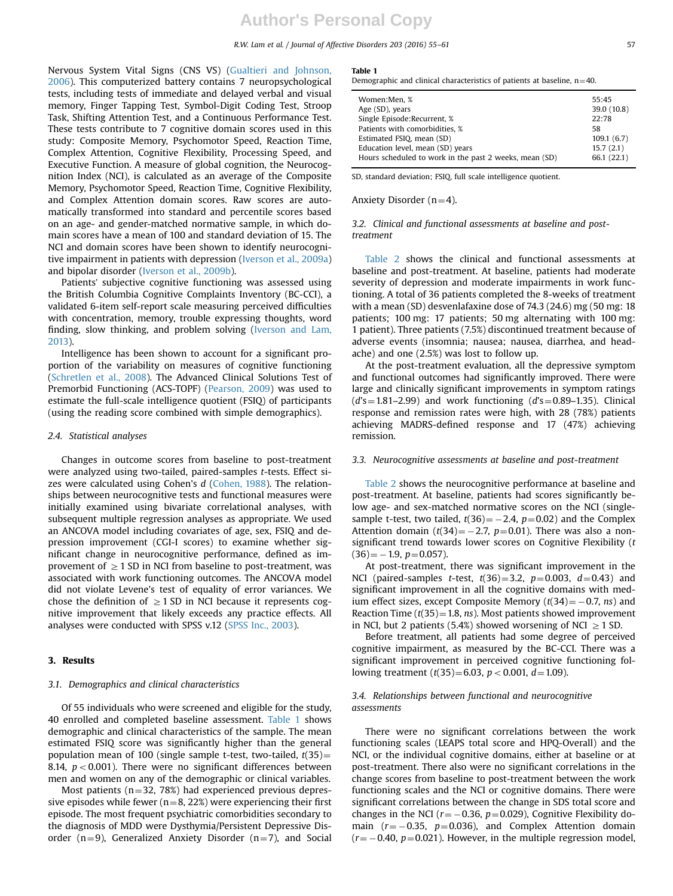R.W. Lam et al. / Journal of Affective Disorders 203 (2016) 55–61 57

Nervous System Vital Signs (CNS VS) ([Gualtieri and Johnson,](#page-6-0) [2006\)](#page-6-0). This computerized battery contains 7 neuropsychological tests, including tests of immediate and delayed verbal and visual memory, Finger Tapping Test, Symbol-Digit Coding Test, Stroop Task, Shifting Attention Test, and a Continuous Performance Test. These tests contribute to 7 cognitive domain scores used in this study: Composite Memory, Psychomotor Speed, Reaction Time, Complex Attention, Cognitive Flexibility, Processing Speed, and Executive Function. A measure of global cognition, the Neurocognition Index (NCI), is calculated as an average of the Composite Memory, Psychomotor Speed, Reaction Time, Cognitive Flexibility, and Complex Attention domain scores. Raw scores are automatically transformed into standard and percentile scores based on an age- and gender-matched normative sample, in which domain scores have a mean of 100 and standard deviation of 15. The NCI and domain scores have been shown to identify neurocognitive impairment in patients with depression ([Iverson et al., 2009a\)](#page-6-0) and bipolar disorder [\(Iverson et al., 2009b](#page-6-0)).

Patients' subjective cognitive functioning was assessed using the British Columbia Cognitive Complaints Inventory (BC-CCI), a validated 6-item self-report scale measuring perceived difficulties with concentration, memory, trouble expressing thoughts, word finding, slow thinking, and problem solving [\(Iverson and Lam,](#page-6-0) [2013\)](#page-6-0).

Intelligence has been shown to account for a significant proportion of the variability on measures of cognitive functioning ([Schretlen et al., 2008\)](#page-6-0). The Advanced Clinical Solutions Test of Premorbid Functioning (ACS-TOPF) [\(Pearson, 2009](#page-6-0)) was used to estimate the full-scale intelligence quotient (FSIQ) of participants (using the reading score combined with simple demographics).

## 2.4. Statistical analyses

Changes in outcome scores from baseline to post-treatment were analyzed using two-tailed, paired-samples t-tests. Effect sizes were calculated using Cohen's d ([Cohen, 1988\)](#page-6-0). The relationships between neurocognitive tests and functional measures were initially examined using bivariate correlational analyses, with subsequent multiple regression analyses as appropriate. We used an ANCOVA model including covariates of age, sex, FSIQ and depression improvement (CGI-I scores) to examine whether significant change in neurocognitive performance, defined as improvement of  $\geq 1$  SD in NCI from baseline to post-treatment, was associated with work functioning outcomes. The ANCOVA model did not violate Levene's test of equality of error variances. We chose the definition of  $\geq$  1 SD in NCI because it represents cognitive improvement that likely exceeds any practice effects. All analyses were conducted with SPSS v.12 [\(SPSS Inc., 2003\)](#page-7-0).

## 3. Results

#### 3.1. Demographics and clinical characteristics

Of 55 individuals who were screened and eligible for the study, 40 enrolled and completed baseline assessment. Table 1 shows demographic and clinical characteristics of the sample. The mean estimated FSIQ score was significantly higher than the general population mean of 100 (single sample t-test, two-tailed,  $t(35)$ = 8.14,  $p < 0.001$ ). There were no significant differences between men and women on any of the demographic or clinical variables.

Most patients ( $n=32$ , 78%) had experienced previous depressive episodes while fewer ( $n=8$ , 22%) were experiencing their first episode. The most frequent psychiatric comorbidities secondary to the diagnosis of MDD were Dysthymia/Persistent Depressive Disorder (n=9), Generalized Anxiety Disorder (n=7), and Social

#### Table 1

Demographic and clinical characteristics of patients at baseline,  $n=40$ .

| Women:Men, %                                           | 55:45       |
|--------------------------------------------------------|-------------|
| Age (SD), years                                        | 39.0 (10.8) |
| Single Episode: Recurrent, %                           | 22:78       |
| Patients with comorbidities. %                         | 58          |
| Estimated FSIQ, mean (SD)                              | 109.1(6.7)  |
| Education level, mean (SD) years                       | 15.7(2.1)   |
| Hours scheduled to work in the past 2 weeks, mean (SD) | 66.1 (22.1) |
|                                                        |             |

SD, standard deviation; FSIQ, full scale intelligence quotient.

## Anxiety Disorder  $(n=4)$ .

3.2. Clinical and functional assessments at baseline and posttreatment

[Table 2](#page-4-0) shows the clinical and functional assessments at baseline and post-treatment. At baseline, patients had moderate severity of depression and moderate impairments in work functioning. A total of 36 patients completed the 8-weeks of treatment with a mean (SD) desvenlafaxine dose of 74.3 (24.6) mg (50 mg: 18 patients; 100 mg: 17 patients; 50 mg alternating with 100 mg: 1 patient). Three patients (7.5%) discontinued treatment because of adverse events (insomnia; nausea; nausea, diarrhea, and headache) and one (2.5%) was lost to follow up.

At the post-treatment evaluation, all the depressive symptom and functional outcomes had significantly improved. There were large and clinically significant improvements in symptom ratings  $(d's = 1.81-2.99)$  and work functioning  $(d's = 0.89-1.35)$ . Clinical response and remission rates were high, with 28 (78%) patients achieving MADRS-defined response and 17 (47%) achieving remission.

#### 3.3. Neurocognitive assessments at baseline and post-treatment

[Table 2](#page-4-0) shows the neurocognitive performance at baseline and post-treatment. At baseline, patients had scores significantly below age- and sex-matched normative scores on the NCI (singlesample t-test, two tailed,  $t(36) = -2.4$ ,  $p=0.02$ ) and the Complex Attention domain  $(t(34) = -2.7, p=0.01)$ . There was also a nonsignificant trend towards lower scores on Cognitive Flexibility (t  $(36) = -1.9, p=0.057$ ).

At post-treatment, there was significant improvement in the NCI (paired-samples *t*-test,  $t(36)=3.2$ ,  $p=0.003$ ,  $d=0.43$ ) and significant improvement in all the cognitive domains with medium effect sizes, except Composite Memory  $(t(34) = -0.7, ns)$  and Reaction Time  $(t(35)=1.8, ns)$ . Most patients showed improvement in NCI, but 2 patients (5.4%) showed worsening of NCI  $\geq$  1 SD.

Before treatment, all patients had some degree of perceived cognitive impairment, as measured by the BC-CCI. There was a significant improvement in perceived cognitive functioning following treatment  $(t(35)=6.03, p<0.001, d=1.09)$ .

## 3.4. Relationships between functional and neurocognitive assessments

There were no significant correlations between the work functioning scales (LEAPS total score and HPQ-Overall) and the NCI, or the individual cognitive domains, either at baseline or at post-treatment. There also were no significant correlations in the change scores from baseline to post-treatment between the work functioning scales and the NCI or cognitive domains. There were significant correlations between the change in SDS total score and changes in the NCI ( $r = -0.36$ ,  $p = 0.029$ ), Cognitive Flexibility domain  $(r = -0.35, p = 0.036)$ , and Complex Attention domain  $(r = -0.40, p = 0.021)$ . However, in the multiple regression model,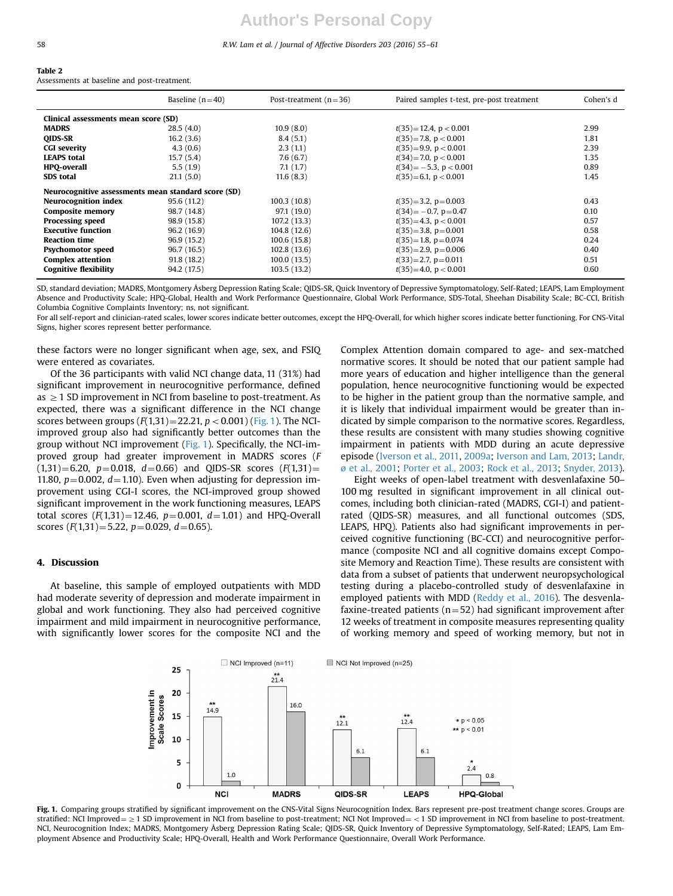## <span id="page-4-0"></span>58 R.W. Lam et al. / Journal of Affective Disorders 203 (2016) 55–61

#### Table 2

Assessments at baseline and post-treatment.

|                                                     | Baseline $(n=40)$ | Post-treatment $(n=36)$ | Paired samples t-test, pre-post treatment | Cohen's d |  |
|-----------------------------------------------------|-------------------|-------------------------|-------------------------------------------|-----------|--|
| Clinical assessments mean score (SD)                |                   |                         |                                           |           |  |
| <b>MADRS</b>                                        | 28.5(4.0)         | 10.9(8.0)               | $t(35) = 12.4$ , $p < 0.001$              | 2.99      |  |
| <b>OIDS-SR</b>                                      | 16.2(3.6)         | 8.4(5.1)                | $t(35) = 7.8$ , $p < 0.001$               | 1.81      |  |
| <b>CGI severity</b>                                 | 4.3(0.6)          | 2.3(1.1)                | $t(35)=9.9, p < 0.001$                    | 2.39      |  |
| <b>LEAPS total</b>                                  | 15.7(5.4)         | 7.6(6.7)                | $t(34)=7.0$ , $p < 0.001$                 | 1.35      |  |
| <b>HPO-overall</b>                                  | 5.5(1.9)          | 7.1(1.7)                | $t(34) = -5.3$ , $p < 0.001$              | 0.89      |  |
| <b>SDS</b> total                                    | 21.1(5.0)         | 11.6(8.3)               | $t(35)=6.1, p<0.001$                      | 1.45      |  |
| Neurocognitive assessments mean standard score (SD) |                   |                         |                                           |           |  |
| <b>Neurocognition index</b>                         | 95.6 (11.2)       | 100.3(10.8)             | $t(35)=3.2$ , $p=0.003$                   | 0.43      |  |
| <b>Composite memory</b>                             | 98.7 (14.8)       | 97.1 (19.0)             | $t(34) = -0.7$ , p=0.47                   | 0.10      |  |
| <b>Processing speed</b>                             | 98.9 (15.8)       | 107.2 (13.3)            | $t(35)=4.3, p < 0.001$                    | 0.57      |  |
| <b>Executive function</b>                           | 96.2 (16.9)       | 104.8 (12.6)            | $t(35)=3.8, p=0.001$                      | 0.58      |  |
| <b>Reaction time</b>                                | 96.9(15.2)        | 100.6(15.8)             | $t(35)=1.8$ , $p=0.074$                   | 0.24      |  |
| <b>Psychomotor speed</b>                            | 96.7 (16.5)       | 102.8(13.6)             | $t(35)=2.9, p=0.006$                      | 0.40      |  |
| <b>Complex attention</b>                            | 91.8(18.2)        | 100.0(13.5)             | $t(33)=2.7, p=0.011$                      | 0.51      |  |
| <b>Cognitive flexibility</b>                        | 94.2 (17.5)       | 103.5(13.2)             | $t(35)=4.0, p < 0.001$                    | 0.60      |  |

SD, standard deviation; MADRS, Montgomery Åsberg Depression Rating Scale; QIDS-SR, Quick Inventory of Depressive Symptomatology, Self-Rated; LEAPS, Lam Employment Absence and Productivity Scale; HPQ-Global, Health and Work Performance Questionnaire, Global Work Performance, SDS-Total, Sheehan Disability Scale; BC-CCI, British Columbia Cognitive Complaints Inventory; ns, not significant.

For all self-report and clinician-rated scales, lower scores indicate better outcomes, except the HPQ-Overall, for which higher scores indicate better functioning. For CNS-Vital Signs, higher scores represent better performance.

these factors were no longer significant when age, sex, and FSIQ were entered as covariates.

Of the 36 participants with valid NCI change data, 11 (31%) had significant improvement in neurocognitive performance, defined as  $\geq$  1 SD improvement in NCI from baseline to post-treatment. As expected, there was a significant difference in the NCI change scores between groups  $(F(1,31)=22.21, p<0.001)$  (Fig. 1). The NCIimproved group also had significantly better outcomes than the group without NCI improvement (Fig. 1). Specifically, the NCI-improved group had greater improvement in MADRS scores (F  $(1,31)=6.20$ ,  $p=0.018$ ,  $d=0.66$ ) and QIDS-SR scores  $(F(1,31))=$ 11.80,  $p=0.002$ ,  $d=1.10$ ). Even when adjusting for depression improvement using CGI-I scores, the NCI-improved group showed significant improvement in the work functioning measures, LEAPS total scores  $(F(1,31)=12.46, p=0.001, d=1.01)$  and HPQ-Overall scores  $(F(1,31)=5.22, p=0.029, d=0.65)$ .

#### 4. Discussion

At baseline, this sample of employed outpatients with MDD had moderate severity of depression and moderate impairment in global and work functioning. They also had perceived cognitive impairment and mild impairment in neurocognitive performance, with significantly lower scores for the composite NCI and the

Complex Attention domain compared to age- and sex-matched normative scores. It should be noted that our patient sample had more years of education and higher intelligence than the general population, hence neurocognitive functioning would be expected to be higher in the patient group than the normative sample, and it is likely that individual impairment would be greater than indicated by simple comparison to the normative scores. Regardless, these results are consistent with many studies showing cognitive impairment in patients with MDD during an acute depressive episode [\(Iverson et al., 2011,](#page-6-0) [2009a](#page-6-0); [Iverson and Lam, 2013;](#page-6-0) [Landr,](#page-6-0) [ø et al., 2001](#page-6-0); [Porter et al., 2003;](#page-6-0) [Rock et al., 2013;](#page-6-0) [Snyder, 2013\)](#page-6-0).

Eight weeks of open-label treatment with desvenlafaxine 50– 100 mg resulted in significant improvement in all clinical outcomes, including both clinician-rated (MADRS, CGI-I) and patientrated (QIDS-SR) measures, and all functional outcomes (SDS, LEAPS, HPQ). Patients also had significant improvements in perceived cognitive functioning (BC-CCI) and neurocognitive performance (composite NCI and all cognitive domains except Composite Memory and Reaction Time). These results are consistent with data from a subset of patients that underwent neuropsychological testing during a placebo-controlled study of desvenlafaxine in employed patients with MDD [\(Reddy et al., 2016](#page-6-0)). The desvenlafaxine-treated patients ( $n=52$ ) had significant improvement after 12 weeks of treatment in composite measures representing quality of working memory and speed of working memory, but not in



Fig. 1. Comparing groups stratified by significant improvement on the CNS-Vital Signs Neurocognition Index. Bars represent pre-post treatment change scores. Groups are stratified: NCI Improved =  $\geq 1$  SD improvement in NCI from baseline to post-treatment; NCI Not Improved =  $\lt 1$  SD improvement in NCI from baseline to post-treatment. NCI, Neurocognition Index; MADRS, Montgomery Åsberg Depression Rating Scale; QIDS-SR, Quick Inventory of Depressive Symptomatology, Self-Rated; LEAPS, Lam Employment Absence and Productivity Scale; HPQ-Overall, Health and Work Performance Questionnaire, Overall Work Performance.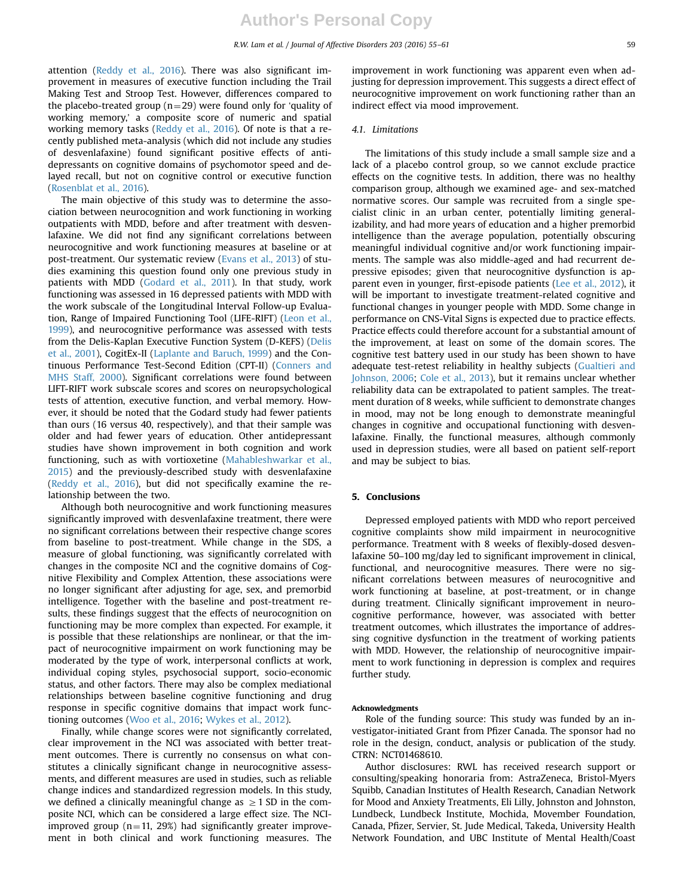attention [\(Reddy et al., 2016\)](#page-6-0). There was also significant improvement in measures of executive function including the Trail Making Test and Stroop Test. However, differences compared to the placebo-treated group ( $n=29$ ) were found only for 'quality of working memory,' a composite score of numeric and spatial working memory tasks ([Reddy et al., 2016](#page-6-0)). Of note is that a recently published meta-analysis (which did not include any studies of desvenlafaxine) found significant positive effects of antidepressants on cognitive domains of psychomotor speed and delayed recall, but not on cognitive control or executive function ([Rosenblat et al., 2016\)](#page-6-0).

The main objective of this study was to determine the association between neurocognition and work functioning in working outpatients with MDD, before and after treatment with desvenlafaxine. We did not find any significant correlations between neurocognitive and work functioning measures at baseline or at post-treatment. Our systematic review [\(Evans et al., 2013\)](#page-6-0) of studies examining this question found only one previous study in patients with MDD [\(Godard et al., 2011\)](#page-6-0). In that study, work functioning was assessed in 16 depressed patients with MDD with the work subscale of the Longitudinal Interval Follow-up Evaluation, Range of Impaired Functioning Tool (LIFE-RIFT) [\(Leon et al.,](#page-6-0) [1999](#page-6-0)), and neurocognitive performance was assessed with tests from the Delis-Kaplan Executive Function System (D-KEFS) ([Delis](#page-6-0) [et al., 2001](#page-6-0)), CogitEx-II [\(Laplante and Baruch, 1999](#page-6-0)) and the Continuous Performance Test-Second Edition (CPT-II) [\(Conners and](#page-6-0) [MHS Staff, 2000\)](#page-6-0). Significant correlations were found between LIFT-RIFT work subscale scores and scores on neuropsychological tests of attention, executive function, and verbal memory. However, it should be noted that the Godard study had fewer patients than ours (16 versus 40, respectively), and that their sample was older and had fewer years of education. Other antidepressant studies have shown improvement in both cognition and work functioning, such as with vortioxetine ([Mahableshwarkar et al.,](#page-7-0) [2015\)](#page-7-0) and the previously-described study with desvenlafaxine ([Reddy et al., 2016\)](#page-6-0), but did not specifically examine the relationship between the two.

Although both neurocognitive and work functioning measures significantly improved with desvenlafaxine treatment, there were no significant correlations between their respective change scores from baseline to post-treatment. While change in the SDS, a measure of global functioning, was significantly correlated with changes in the composite NCI and the cognitive domains of Cognitive Flexibility and Complex Attention, these associations were no longer significant after adjusting for age, sex, and premorbid intelligence. Together with the baseline and post-treatment results, these findings suggest that the effects of neurocognition on functioning may be more complex than expected. For example, it is possible that these relationships are nonlinear, or that the impact of neurocognitive impairment on work functioning may be moderated by the type of work, interpersonal conflicts at work, individual coping styles, psychosocial support, socio-economic status, and other factors. There may also be complex mediational relationships between baseline cognitive functioning and drug response in specific cognitive domains that impact work functioning outcomes ([Woo et al., 2016;](#page-7-0) [Wykes et al., 2012\)](#page-7-0).

Finally, while change scores were not significantly correlated, clear improvement in the NCI was associated with better treatment outcomes. There is currently no consensus on what constitutes a clinically significant change in neurocognitive assessments, and different measures are used in studies, such as reliable change indices and standardized regression models. In this study, we defined a clinically meaningful change as  $\geq 1$  SD in the composite NCI, which can be considered a large effect size. The NCIimproved group  $(n=11, 29%)$  had significantly greater improvement in both clinical and work functioning measures. The improvement in work functioning was apparent even when adjusting for depression improvement. This suggests a direct effect of neurocognitive improvement on work functioning rather than an indirect effect via mood improvement.

#### 4.1. Limitations

The limitations of this study include a small sample size and a lack of a placebo control group, so we cannot exclude practice effects on the cognitive tests. In addition, there was no healthy comparison group, although we examined age- and sex-matched normative scores. Our sample was recruited from a single specialist clinic in an urban center, potentially limiting generalizability, and had more years of education and a higher premorbid intelligence than the average population, potentially obscuring meaningful individual cognitive and/or work functioning impairments. The sample was also middle-aged and had recurrent depressive episodes; given that neurocognitive dysfunction is apparent even in younger, first-episode patients [\(Lee et al., 2012](#page-6-0)), it will be important to investigate treatment-related cognitive and functional changes in younger people with MDD. Some change in performance on CNS-Vital Signs is expected due to practice effects. Practice effects could therefore account for a substantial amount of the improvement, at least on some of the domain scores. The cognitive test battery used in our study has been shown to have adequate test-retest reliability in healthy subjects ([Gualtieri and](#page-6-0) [Johnson, 2006](#page-6-0); [Cole et al., 2013\)](#page-6-0), but it remains unclear whether reliability data can be extrapolated to patient samples. The treatment duration of 8 weeks, while sufficient to demonstrate changes in mood, may not be long enough to demonstrate meaningful changes in cognitive and occupational functioning with desvenlafaxine. Finally, the functional measures, although commonly used in depression studies, were all based on patient self-report and may be subject to bias.

## 5. Conclusions

Depressed employed patients with MDD who report perceived cognitive complaints show mild impairment in neurocognitive performance. Treatment with 8 weeks of flexibly-dosed desvenlafaxine 50–100 mg/day led to significant improvement in clinical, functional, and neurocognitive measures. There were no significant correlations between measures of neurocognitive and work functioning at baseline, at post-treatment, or in change during treatment. Clinically significant improvement in neurocognitive performance, however, was associated with better treatment outcomes, which illustrates the importance of addressing cognitive dysfunction in the treatment of working patients with MDD. However, the relationship of neurocognitive impairment to work functioning in depression is complex and requires further study.

#### Acknowledgments

Role of the funding source: This study was funded by an investigator-initiated Grant from Pfizer Canada. The sponsor had no role in the design, conduct, analysis or publication of the study. CTRN: NCT01468610.

Author disclosures: RWL has received research support or consulting/speaking honoraria from: AstraZeneca, Bristol-Myers Squibb, Canadian Institutes of Health Research, Canadian Network for Mood and Anxiety Treatments, Eli Lilly, Johnston and Johnston, Lundbeck, Lundbeck Institute, Mochida, Movember Foundation, Canada, Pfizer, Servier, St. Jude Medical, Takeda, University Health Network Foundation, and UBC Institute of Mental Health/Coast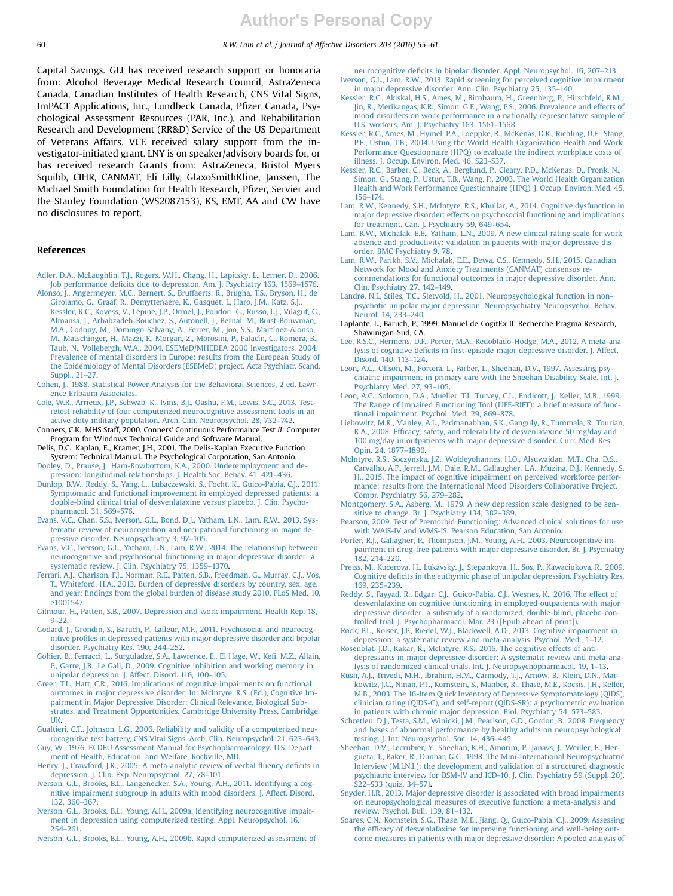<span id="page-6-0"></span>

Capital Savings. GLI has received research support or honoraria from: Alcohol Beverage Medical Research Council, AstraZeneca Canada, Canadian Institutes of Health Research, CNS Vital Signs, ImPACT Applications, Inc., Lundbeck Canada, Pfizer Canada, Psychological Assessment Resources (PAR, Inc.), and Rehabilitation Research and Development (RR&D) Service of the US Department of Veterans Affairs. VCE received salary support from the investigator-initiated grant. LNY is on speaker/advisory boards for, or has received research Grants from: AstraZeneca, Bristol Myers Squibb, CIHR, CANMAT, Eli Lilly, GlaxoSmithKline, Janssen, The Michael Smith Foundation for Health Research, Pfizer, Servier and the Stanley Foundation (WS2087153), KS, EMT, AA and CW have no disclosures to report.

## References

- [Adler, D.A., McLaughlin, T.J., Rogers, W.H., Chang, H., Lapitsky, L., Lerner, D., 2006.](http://refhub.elsevier.com/S0165-0327(16)30142-2/sbref1) Job performance defi[cits due to depression. Am. J. Psychiatry 163, 1569](http://refhub.elsevier.com/S0165-0327(16)30142-2/sbref1)–1576. [Alonso, J., Angermeyer, M.C., Bernert, S., Bruffaerts, R., Brugha, T.S., Bryson, H., de](http://refhub.elsevier.com/S0165-0327(16)30142-2/sbref2)
- [Girolamo, G., Graaf, R., Demyttenaere, K., Gasquet, I., Haro, J.M., Katz, S.J.,](http://refhub.elsevier.com/S0165-0327(16)30142-2/sbref2) [Kessler, R.C., Kovess, V., Lépine, J.P., Ormel, J., Polidori, G., Russo, L.J., Vilagut, G.,](http://refhub.elsevier.com/S0165-0327(16)30142-2/sbref2) [Almansa, J., Arbabzadeh-Bouchez, S., Autonell, J., Bernal, M., Buist-Bouwman,](http://refhub.elsevier.com/S0165-0327(16)30142-2/sbref2) [M.A., Codony, M., Domingo-Salvany, A., Ferrer, M., Joo, S.S., Martínez-Alonso,](http://refhub.elsevier.com/S0165-0327(16)30142-2/sbref2) [M., Matschinger, H., Mazzi, F., Morgan, Z., Morosini, P., Palacín, C., Romera, B.,](http://refhub.elsevier.com/S0165-0327(16)30142-2/sbref2) [Taub, N., Vollebergh, W.A., 2004. ESEMeD/MHEDEA 2000 Investigators, 2004.](http://refhub.elsevier.com/S0165-0327(16)30142-2/sbref2) [Prevalence of mental disorders in Europe: results from the European Study of](http://refhub.elsevier.com/S0165-0327(16)30142-2/sbref2) [the Epidemiology of Mental Disorders \(ESEMeD\) project. Acta Psychiatr. Scand.](http://refhub.elsevier.com/S0165-0327(16)30142-2/sbref2) [Suppl., 21](http://refhub.elsevier.com/S0165-0327(16)30142-2/sbref2)–27.
- [Cohen, J., 1988. Statistical Power Analysis for the Behavioral Sciences, 2 ed. Lawr](http://refhub.elsevier.com/S0165-0327(16)30142-2/sbref3)[ence Erlbaum Associates.](http://refhub.elsevier.com/S0165-0327(16)30142-2/sbref3)
- [Cole, W.R., Arrieux, J.P., Schwab, K., Ivins, B.J., Qashu, F.M., Lewis, S.C., 2013. Test](http://refhub.elsevier.com/S0165-0327(16)30142-2/sbref4)[retest reliability of four computerized neurocognitive assessment tools in an](http://refhub.elsevier.com/S0165-0327(16)30142-2/sbref4) [active duty military population. Arch. Clin. Neuropsychol. 28, 732](http://refhub.elsevier.com/S0165-0327(16)30142-2/sbref4)–742.
- Conners, C.K., MHS Staff, 2000. Conners' Continuous Performance Test II: Computer Program for Windows Technical Guide and Software Manual.
- Delis, D.C., Kaplan, E., Kramer, J.H., 2001. The Delis-Kaplan Executive Function System: Technical Manual. The Psychological Corporation, San Antonio. [Dooley, D., Prause, J., Ham-Rowbottom, K.A., 2000. Underemployment and de-](http://refhub.elsevier.com/S0165-0327(16)30142-2/sbref5)

[pression: longitudinal relationships. J. Health Soc. Behav. 41, 421](http://refhub.elsevier.com/S0165-0327(16)30142-2/sbref5)–436.

- [Dunlop, B.W., Reddy, S., Yang, L., Lubaczewski, S., Focht, K., Guico-Pabia, C.J., 2011.](http://refhub.elsevier.com/S0165-0327(16)30142-2/sbref6) [Symptomatic and functional improvement in employed depressed patients: a](http://refhub.elsevier.com/S0165-0327(16)30142-2/sbref6) [double-blind clinical trial of desvenlafaxine versus placebo. J. Clin. Psycho](http://refhub.elsevier.com/S0165-0327(16)30142-2/sbref6)[pharmacol. 31, 569](http://refhub.elsevier.com/S0165-0327(16)30142-2/sbref6)–576.
- [Evans, V.C., Chan, S.S., Iverson, G.L., Bond, D.J., Yatham, L.N., Lam, R.W., 2013. Sys](http://refhub.elsevier.com/S0165-0327(16)30142-2/sbref7)[tematic review of neurocognition and occupational functioning in major de](http://refhub.elsevier.com/S0165-0327(16)30142-2/sbref7)[pressive disorder. Neuropsychiatry 3, 97](http://refhub.elsevier.com/S0165-0327(16)30142-2/sbref7)–105.
- [Evans, V.C., Iverson, G.L., Yatham, L.N., Lam, R.W., 2014. The relationship between](http://refhub.elsevier.com/S0165-0327(16)30142-2/sbref8) [neurocognitive and psychosocial functioning in major depressive disorder: a](http://refhub.elsevier.com/S0165-0327(16)30142-2/sbref8) [systematic review. J. Clin. Psychiatry 75, 1359](http://refhub.elsevier.com/S0165-0327(16)30142-2/sbref8)–1370.
- [Ferrari, A.J., Charlson, F.J., Norman, R.E., Patten, S.B., Freedman, G., Murray, C.J., Vos,](http://refhub.elsevier.com/S0165-0327(16)30142-2/sbref9) T., Whiteford, H.A., 2013. Burden of depressive disorders by country, sex, age and year: fi[ndings from the global burden of disease study 2010. PLoS Med. 10,](http://refhub.elsevier.com/S0165-0327(16)30142-2/sbref9) [e1001547.](http://refhub.elsevier.com/S0165-0327(16)30142-2/sbref9)
- [Gilmour, H., Patten, S.B., 2007. Depression and work impairment. Health Rep. 18,](http://refhub.elsevier.com/S0165-0327(16)30142-2/sbref10) [9](http://refhub.elsevier.com/S0165-0327(16)30142-2/sbref10)–[22.](http://refhub.elsevier.com/S0165-0327(16)30142-2/sbref10)
- Godard, J., Grondin, S., Baruch, P., Lafl[eur, M.F., 2011. Psychosocial and neurocog](http://refhub.elsevier.com/S0165-0327(16)30142-2/sbref11)nitive profi[les in depressed patients with major depressive disorder and bipolar](http://refhub.elsevier.com/S0165-0327(16)30142-2/sbref11) [disorder. Psychiatry Res. 190, 244](http://refhub.elsevier.com/S0165-0327(16)30142-2/sbref11)–252.
- [Gohier, B., Ferracci, L., Surguladze, S.A., Lawrence, E., El Hage, W., Ke](http://refhub.elsevier.com/S0165-0327(16)30142-2/sbref12)fi, M.Z., Allain, [P., Garre, J.B., Le Gall, D., 2009. Cognitive inhibition and working memory in](http://refhub.elsevier.com/S0165-0327(16)30142-2/sbref12) [unipolar depression. J. Affect. Disord. 116, 100](http://refhub.elsevier.com/S0165-0327(16)30142-2/sbref12)–105.
- [Greer, T.L., Hatt, C.R., 2016. Implications of cognitive impairments on functional](http://refhub.elsevier.com/S0165-0327(16)30142-2/sbref13) [outcomes in major depressive disorder. In: McIntyre, R.S. \(Ed.\), Cognitive Im](http://refhub.elsevier.com/S0165-0327(16)30142-2/sbref13)[pairment in Major Depressive Disorder: Clinical Relevance, Biological Sub](http://refhub.elsevier.com/S0165-0327(16)30142-2/sbref13)[strates, and Treatment Opportunities. Cambridge University Press, Cambridge,](http://refhub.elsevier.com/S0165-0327(16)30142-2/sbref13) [UK.](http://refhub.elsevier.com/S0165-0327(16)30142-2/sbref13)
- [Gualtieri, C.T., Johnson, L.G., 2006. Reliability and validity of a computerized neu](http://refhub.elsevier.com/S0165-0327(16)30142-2/sbref14)[rocognitive test battery, CNS Vital Signs. Arch. Clin. Neuropsychol. 21, 623](http://refhub.elsevier.com/S0165-0327(16)30142-2/sbref14)–643.
- [Guy, W., 1976. ECDEU Assessment Manual for Psychopharmacology. U.S. Depart](http://refhub.elsevier.com/S0165-0327(16)30142-2/sbref15)[ment of Health, Education, and Welfare, Rockville, MD.](http://refhub.elsevier.com/S0165-0327(16)30142-2/sbref15)
- [Henry, J., Crawford, J.R., 2005. A meta-analytic review of verbal](http://refhub.elsevier.com/S0165-0327(16)30142-2/sbref16) fluency deficits in [depression. J. Clin. Exp. Neuropsychol. 27, 78](http://refhub.elsevier.com/S0165-0327(16)30142-2/sbref16)–101.
- [Iverson, G.L., Brooks, B.L., Langenecker, S.A., Young, A.H., 2011. Identifying a cog](http://refhub.elsevier.com/S0165-0327(16)30142-2/sbref17)[nitive impairment subgroup in adults with mood disorders. J. Affect. Disord.](http://refhub.elsevier.com/S0165-0327(16)30142-2/sbref17) [132, 360](http://refhub.elsevier.com/S0165-0327(16)30142-2/sbref17)–367.

[Iverson, G.L., Brooks, B.L., Young, A.H., 2009a. Identifying neurocognitive impair](http://refhub.elsevier.com/S0165-0327(16)30142-2/sbref18)[ment in depression using computerized testing. Appl. Neuropsychol. 16,](http://refhub.elsevier.com/S0165-0327(16)30142-2/sbref18) [254](http://refhub.elsevier.com/S0165-0327(16)30142-2/sbref18)–[261.](http://refhub.elsevier.com/S0165-0327(16)30142-2/sbref18)

[Iverson, G.L., Brooks, B.L., Young, A.H., 2009b. Rapid computerized assessment of](http://refhub.elsevier.com/S0165-0327(16)30142-2/sbref19)

- neurocognitive defi[cits in bipolar disorder. Appl. Neuropsychol. 16, 207](http://refhub.elsevier.com/S0165-0327(16)30142-2/sbref19)–213. [Iverson, G.L., Lam, R.W., 2013. Rapid screening for perceived cognitive impairment](http://refhub.elsevier.com/S0165-0327(16)30142-2/sbref20) [in major depressive disorder. Ann. Clin. Psychiatry 25, 135](http://refhub.elsevier.com/S0165-0327(16)30142-2/sbref20)–140.
- [Kessler, R.C., Akiskal, H.S., Ames, M., Birnbaum, H., Greenberg, P., Hirschfeld, R.M.,](http://refhub.elsevier.com/S0165-0327(16)30142-2/sbref21) [Jin, R., Merikangas, K.R., Simon, G.E., Wang, P.S., 2006. Prevalence and effects of](http://refhub.elsevier.com/S0165-0327(16)30142-2/sbref21) [mood disorders on work performance in a nationally representative sample of](http://refhub.elsevier.com/S0165-0327(16)30142-2/sbref21) [U.S. workers. Am. J. Psychiatry 163, 1561](http://refhub.elsevier.com/S0165-0327(16)30142-2/sbref21)–1568.
- [Kessler, R.C., Ames, M., Hymel, P.A., Loeppke, R., McKenas, D.K., Richling, D.E., Stang,](http://refhub.elsevier.com/S0165-0327(16)30142-2/sbref22) [P.E., Ustun, T.B., 2004. Using the World Health Organization Health and Work](http://refhub.elsevier.com/S0165-0327(16)30142-2/sbref22) [Performance Questionnaire \(HPQ\) to evaluate the indirect workplace costs of](http://refhub.elsevier.com/S0165-0327(16)30142-2/sbref22) [illness. J. Occup. Environ. Med. 46, S23](http://refhub.elsevier.com/S0165-0327(16)30142-2/sbref22)–S37.
- [Kessler, R.C., Barber, C., Beck, A., Berglund, P., Cleary, P.D., McKenas, D., Pronk, N.,](http://refhub.elsevier.com/S0165-0327(16)30142-2/sbref23) [Simon, G., Stang, P., Ustun, T.B., Wang, P., 2003. The World Health Organization](http://refhub.elsevier.com/S0165-0327(16)30142-2/sbref23) [Health and Work Performance Questionnaire \(HPQ\). J. Occup. Environ. Med. 45,](http://refhub.elsevier.com/S0165-0327(16)30142-2/sbref23) [156](http://refhub.elsevier.com/S0165-0327(16)30142-2/sbref23)–[174.](http://refhub.elsevier.com/S0165-0327(16)30142-2/sbref23)
- [Lam, R.W., Kennedy, S.H., Mclntyre, R.S., Khullar, A., 2014. Cognitive dysfunction in](http://refhub.elsevier.com/S0165-0327(16)30142-2/sbref24) [major depressive disorder: effects on psychosocial functioning and implications](http://refhub.elsevier.com/S0165-0327(16)30142-2/sbref24) [for treatment. Can. J. Psychiatry 59, 649](http://refhub.elsevier.com/S0165-0327(16)30142-2/sbref24)–654.
- [Lam, R.W., Michalak, E.E., Yatham, L.N., 2009. A new clinical rating scale for work](http://refhub.elsevier.com/S0165-0327(16)30142-2/sbref25) [absence and productivity: validation in patients with major depressive dis](http://refhub.elsevier.com/S0165-0327(16)30142-2/sbref25)[order. BMC Psychiatry 9, 78.](http://refhub.elsevier.com/S0165-0327(16)30142-2/sbref25)
- [Lam, R.W., Parikh, S.V., Michalak, E.E., Dewa, C.S., Kennedy, S.H., 2015. Canadian](http://refhub.elsevier.com/S0165-0327(16)30142-2/sbref26) [Network for Mood and Anxiety Treatments \(CANMAT\) consensus re](http://refhub.elsevier.com/S0165-0327(16)30142-2/sbref26)[commendations for functional outcomes in major depressive disorder. Ann.](http://refhub.elsevier.com/S0165-0327(16)30142-2/sbref26) [Clin. Psychiatry 27, 142](http://refhub.elsevier.com/S0165-0327(16)30142-2/sbref26)–149.
- [Landrø, N.I., Stiles, T.C., Sletvold, H., 2001. Neuropsychological function in non](http://refhub.elsevier.com/S0165-0327(16)30142-2/sbref27)[psychotic unipolar major depression. Neuropsychiatry Neuropsychol. Behav.](http://refhub.elsevier.com/S0165-0327(16)30142-2/sbref27) [Neurol. 14, 233](http://refhub.elsevier.com/S0165-0327(16)30142-2/sbref27)–240.
- Laplante, L., Baruch, P., 1999. Manuel de CogitEx II. Recherche Pragma Research, Shawinigan-Sud, CA.
- [Lee, R.S.C., Hermens, D.F., Porter, M.A., Redoblado-Hodge, M.A., 2012. A meta-ana](http://refhub.elsevier.com/S0165-0327(16)30142-2/sbref28)lysis of cognitive deficits in fi[rst-episode major depressive disorder. J. Affect.](http://refhub.elsevier.com/S0165-0327(16)30142-2/sbref28) [Disord. 140, 113](http://refhub.elsevier.com/S0165-0327(16)30142-2/sbref28)–124.
- [Leon, A.C., Olfson, M., Portera, L., Farber, L., Sheehan, D.V., 1997. Assessing psy](http://refhub.elsevier.com/S0165-0327(16)30142-2/sbref29)[chiatric impairment in primary care with the Sheehan Disability Scale. Int. J.](http://refhub.elsevier.com/S0165-0327(16)30142-2/sbref29) [Psychiatry Med. 27, 93](http://refhub.elsevier.com/S0165-0327(16)30142-2/sbref29)–105.
- [Leon, A.C., Solomon, D.A., Mueller, T.I., Turvey, C.L., Endicott, J., Keller, M.B., 1999.](http://refhub.elsevier.com/S0165-0327(16)30142-2/sbref30) [The Range of Impaired Functioning Tool \(LIFE-RIFT\): a brief measure of func](http://refhub.elsevier.com/S0165-0327(16)30142-2/sbref30)[tional impairment. Psychol. Med. 29, 869](http://refhub.elsevier.com/S0165-0327(16)30142-2/sbref30)–878.
- [Liebowitz, M.R., Manley, A.L., Padmanabhan, S.K., Ganguly, R., Tummala, R., Tourian,](http://refhub.elsevier.com/S0165-0327(16)30142-2/sbref31) K.A., 2008. Effi[cacy, safety, and tolerability of desvenlafaxine 50 mg/day and](http://refhub.elsevier.com/S0165-0327(16)30142-2/sbref31) [100 mg/day in outpatients with major depressive disorder. Curr. Med. Res.](http://refhub.elsevier.com/S0165-0327(16)30142-2/sbref31) [Opin. 24, 1877](http://refhub.elsevier.com/S0165-0327(16)30142-2/sbref31)–1890.
- [McIntyre, R.S., Soczynska, J.Z., Woldeyohannes, H.O., Alsuwaidan, M.T., Cha, D.S.,](http://refhub.elsevier.com/S0165-0327(16)30142-2/sbref32) [Carvalho, A.F., Jerrell, J.M., Dale, R.M., Gallaugher, L.A., Muzina, D.J., Kennedy, S.](http://refhub.elsevier.com/S0165-0327(16)30142-2/sbref32) [H., 2015. The impact of cognitive impairment on perceived workforce perfor](http://refhub.elsevier.com/S0165-0327(16)30142-2/sbref32)[mance: results from the International Mood Disorders Collaborative Project.](http://refhub.elsevier.com/S0165-0327(16)30142-2/sbref32) [Compr. Psychiatry 56, 279](http://refhub.elsevier.com/S0165-0327(16)30142-2/sbref32)–282.
- [Montgomery, S.A., Asberg, M., 1979. A new depression scale designed to be sen](http://refhub.elsevier.com/S0165-0327(16)30142-2/sbref33)[sitive to change. Br. J. Psychiatry 134, 382](http://refhub.elsevier.com/S0165-0327(16)30142-2/sbref33)–389.
- [Pearson, 2009. Test of Premorbid Functioning: Advanced clinical solutions for use](http://refhub.elsevier.com/S0165-0327(16)30142-2/sbref34) [with WAIS-IV and WMS-IS. Pearson Education, San Antonio.](http://refhub.elsevier.com/S0165-0327(16)30142-2/sbref34)
- [Porter, R.J., Gallagher, P., Thompson, J.M., Young, A.H., 2003. Neurocognitive im](http://refhub.elsevier.com/S0165-0327(16)30142-2/sbref35)[pairment in drug-free patients with major depressive disorder. Br. J. Psychiatry](http://refhub.elsevier.com/S0165-0327(16)30142-2/sbref35) [182, 214](http://refhub.elsevier.com/S0165-0327(16)30142-2/sbref35)–220.
- [Preiss, M., Kucerova, H., Lukavsky, J., Stepankova, H., Sos, P., Kawaciukova, R., 2009.](http://refhub.elsevier.com/S0165-0327(16)30142-2/sbref36) Cognitive defi[cits in the euthymic phase of unipolar depression. Psychiatry Res.](http://refhub.elsevier.com/S0165-0327(16)30142-2/sbref36) [169, 235](http://refhub.elsevier.com/S0165-0327(16)30142-2/sbref36)–239.
- [Reddy, S., Fayyad, R., Edgar, C.J., Guico-Pabia, C.J., Wesnes, K., 2016. The effect of](http://refhub.elsevier.com/S0165-0327(16)30142-2/sbref37) [desvenlafaxine on cognitive functioning in employed outpatients with major](http://refhub.elsevier.com/S0165-0327(16)30142-2/sbref37) [depressive disorder: a substudy of a randomized, double-blind, placebo-con](http://refhub.elsevier.com/S0165-0327(16)30142-2/sbref37)[trolled trial. J. Psychopharmacol. Mar. 23 \(\[Epub ahead of print\]\).](http://refhub.elsevier.com/S0165-0327(16)30142-2/sbref37)
- [Rock, P.L., Roiser, J.P., Riedel, W.J., Blackwell, A.D., 2013. Cognitive impairment in](http://refhub.elsevier.com/S0165-0327(16)30142-2/sbref38) [depression: a systematic review and meta-analysis. Psychol. Med., 1](http://refhub.elsevier.com/S0165-0327(16)30142-2/sbref38)–12.
- [Rosenblat, J.D., Kakar, R., McIntyre, R.S., 2016. The cognitive effects of anti](http://refhub.elsevier.com/S0165-0327(16)30142-2/sbref39)[depressants in major depressive disorder: A systematic review and meta-ana](http://refhub.elsevier.com/S0165-0327(16)30142-2/sbref39)[lysis of randomized clinical trials. Int. J. Neuropsychopharmacol. 19, 1](http://refhub.elsevier.com/S0165-0327(16)30142-2/sbref39)–13.
- [Rush, A.J., Trivedi, M.H., Ibrahim, H.M., Carmody, T.J., Arnow, B., Klein, D.N., Mar](http://refhub.elsevier.com/S0165-0327(16)30142-2/sbref40)[kowitz, J.C., Ninan, P.T., Kornstein, S., Manber, R., Thase, M.E., Kocsis, J.H., Keller,](http://refhub.elsevier.com/S0165-0327(16)30142-2/sbref40) [M.B., 2003. The 16-Item Quick Inventory of Depressive Symptomatology \(QIDS\),](http://refhub.elsevier.com/S0165-0327(16)30142-2/sbref40) [clinician rating \(QIDS-C\), and self-report \(QIDS-SR\): a psychometric evaluation](http://refhub.elsevier.com/S0165-0327(16)30142-2/sbref40) [in patients with chronic major depression. Biol. Psychiatry 54, 573](http://refhub.elsevier.com/S0165-0327(16)30142-2/sbref40)–583.
- [Schretlen, D.J., Testa, S.M., Winicki, J.M., Pearlson, G.D., Gordon, B., 2008. Frequency](http://refhub.elsevier.com/S0165-0327(16)30142-2/sbref41) [and bases of abnormal performance by healthy adults on neuropsychological](http://refhub.elsevier.com/S0165-0327(16)30142-2/sbref41) [testing. J. Int. Neuropsychol. Soc. 14, 436](http://refhub.elsevier.com/S0165-0327(16)30142-2/sbref41)–445.
- [Sheehan, D.V., Lecrubier, Y., Sheehan, K.H., Amorim, P., Janavs, J., Weiller, E., Her](http://refhub.elsevier.com/S0165-0327(16)30142-2/sbref42)[gueta, T., Baker, R., Dunbar, G.C., 1998. The Mini-International Neuropsychiatric](http://refhub.elsevier.com/S0165-0327(16)30142-2/sbref42) [Interview \(M.I.N.I.\): the development and validation of a structured diagnostic](http://refhub.elsevier.com/S0165-0327(16)30142-2/sbref42) [psychiatric interview for DSM-IV and ICD-10. J. Clin. Psychiatry 59 \(Suppl. 20\),](http://refhub.elsevier.com/S0165-0327(16)30142-2/sbref42) [S22](http://refhub.elsevier.com/S0165-0327(16)30142-2/sbref42)–[S33 \(quiz. 34](http://refhub.elsevier.com/S0165-0327(16)30142-2/sbref42)–57).
- [Snyder, H.R., 2013. Major depressive disorder is associated with broad impairments](http://refhub.elsevier.com/S0165-0327(16)30142-2/sbref43) [on neuropsychological measures of executive function: a meta-analysis and](http://refhub.elsevier.com/S0165-0327(16)30142-2/sbref43) [review. Psychol. Bull. 139, 81](http://refhub.elsevier.com/S0165-0327(16)30142-2/sbref43)–132.
- [Soares, C.N., Kornstein, S.G., Thase, M.E., Jiang, Q., Guico-Pabia, C.J., 2009. Assessing](http://refhub.elsevier.com/S0165-0327(16)30142-2/sbref44) the effi[cacy of desvenlafaxine for improving functioning and well-being out](http://refhub.elsevier.com/S0165-0327(16)30142-2/sbref44)[come measures in patients with major depressive disorder: A pooled analysis of](http://refhub.elsevier.com/S0165-0327(16)30142-2/sbref44)